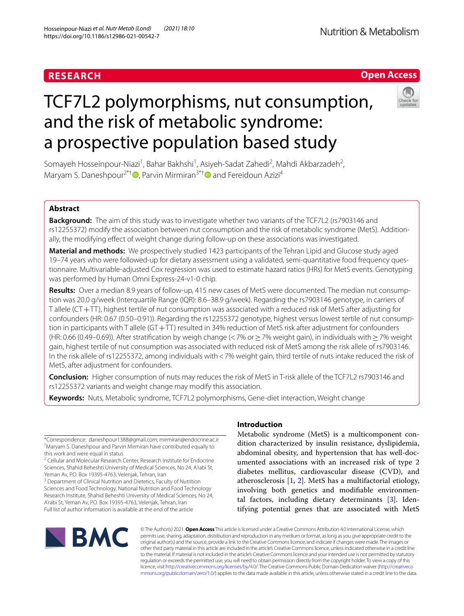# **RESEARCH**

# **Open Access**

**Nutrition & Metabolism** 

# TCF7L2 polymorphisms, nut consumption, and the risk of metabolic syndrome: a prospective population based study



Somayeh Hosseinpour-Niazi<sup>1</sup>, Bahar Bakhshi<sup>1</sup>, Asiyeh-Sadat Zahedi<sup>2</sup>, Mahdi Akbarzadeh<sup>2</sup>, Maryam S. Daneshpour<sup>2\*†</sup>  $\bullet$ [,](http://orcid.org/0000-0003-1525-8672) Parvin Mirmiran<sup>3\*†</sup> and Fereidoun Azizi<sup>4</sup>

# **Abstract**

**Background:** The aim of this study was to investigate whether two variants of the TCF7L2 (rs7903146 and rs12255372) modify the association between nut consumption and the risk of metabolic syndrome (MetS). Additionally, the modifying efect of weight change during follow-up on these associations was investigated.

**Material and methods:** We prospectively studied 1423 participants of the Tehran Lipid and Glucose study aged 19–74 years who were followed-up for dietary assessment using a validated, semi-quantitative food frequency ques‑ tionnaire. Multivariable-adjusted Cox regression was used to estimate hazard ratios (HRs) for MetS events. Genotyping was performed by Human Omni Express-24-v1-0 chip.

**Results:** Over a median 8.9 years of follow-up, 415 new cases of MetS were documented. The median nut consumption was 20.0 g/week (Interquartile Range (IQR): 8.6–38.9 g/week). Regarding the rs7903146 genotype, in carriers of T allele (CT+TT), highest tertile of nut consumption was associated with a reduced risk of MetS after adjusting for confounders (HR: 0.67 (0.50–0.91)). Regarding the rs12255372 genotype, highest versus lowest tertile of nut consumption in participants with T allele (GT+TT) resulted in 34% reduction of MetS risk after adjustment for confounders (HR: 0.66 (0.49–0.69)). After stratifcation by weigh change (<7% or≥7% weight gain), in individuals with≥7% weight gain, highest tertile of nut consumption was associated with reduced risk of MetS among the risk allele of rs7903146. In the risk allele of rs12255372, among individuals with <7% weight gain, third tertile of nuts intake reduced the risk of MetS, after adjustment for confounders.

**Conclusion:** Higher consumption of nuts may reduces the risk of MetS in T-risk allele of the TCF7L2 rs7903146 and rs12255372 variants and weight change may modify this association.

**Keywords:** Nuts, Metabolic syndrome, TCF7L2 polymorphisms, Gene-diet interaction, Weight change

\*Correspondence: daneshpour1388@gmail.com; mirmiran@endocrine.ac.ir † Maryam S. Daneshpour and Parvin Mirmiran have contributed equally to this work and were equal in status

<sup>2</sup> Cellular and Molecular Research Center, Research Institute for Endocrine Sciences, Shahid Beheshti University of Medical Sciences, No 24, A'rabi St, Yeman Av, P.O. Box 19395‑4763, Velenjak, Tehran, Iran

<sup>3</sup> Department of Clinical Nutrition and Dietetics, Faculty of Nutrition Sciences and Food Technology, National Nutrition and Food Technology Research Institute, Shahid Beheshti University of Medical Sciences, No 24, A'rabi St, Yeman Av, P.O. Box 19395‑4763, Velenjak, Tehran, Iran Full list of author information is available at the end of the article

# **Introduction**

Metabolic syndrome (MetS) is a multicomponent condition characterized by insulin resistance, dyslipidemia, abdominal obesity, and hypertension that has well-documented associations with an increased risk of type 2 diabetes mellitus, cardiovascular disease (CVD), and atherosclerosis [[1,](#page-8-0) [2](#page-9-0)]. MetS has a multifactorial etiology, involving both genetics and modifable environmental factors, including dietary determinants [\[3](#page-9-1)]. Identifying potential genes that are associated with MetS



© The Author(s) 2021. **Open Access** This article is licensed under a Creative Commons Attribution 4.0 International License, which permits use, sharing, adaptation, distribution and reproduction in any medium or format, as long as you give appropriate credit to the original author(s) and the source, provide a link to the Creative Commons licence, and indicate if changes were made. The images or other third party material in this article are included in the article's Creative Commons licence, unless indicated otherwise in a credit line to the material. If material is not included in the article's Creative Commons licence and your intended use is not permitted by statutory regulation or exceeds the permitted use, you will need to obtain permission directly from the copyright holder. To view a copy of this licence, visit [http://creativecommons.org/licenses/by/4.0/.](http://creativecommons.org/licenses/by/4.0/) The Creative Commons Public Domain Dedication waiver ([http://creativeco](http://creativecommons.org/publicdomain/zero/1.0/) [mmons.org/publicdomain/zero/1.0/](http://creativecommons.org/publicdomain/zero/1.0/)) applies to the data made available in this article, unless otherwise stated in a credit line to the data.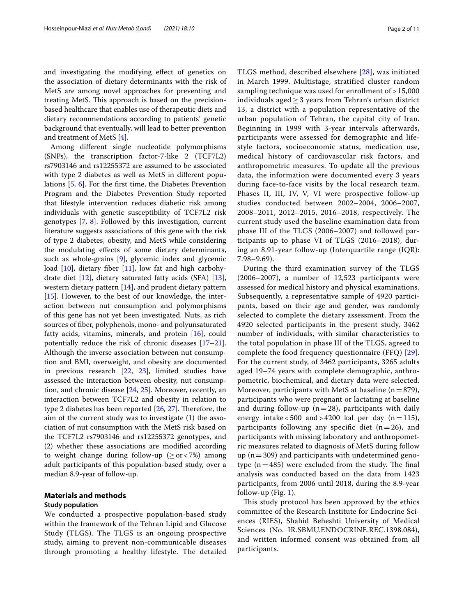and investigating the modifying efect of genetics on the association of dietary determinants with the risk of MetS are among novel approaches for preventing and treating MetS. This approach is based on the precisionbased healthcare that enables use of therapeutic diets and dietary recommendations according to patients' genetic background that eventually, will lead to better prevention and treatment of MetS [[4\]](#page-9-2).

Among diferent single nucleotide polymorphisms (SNPs), the transcription factor-7-like 2 (TCF7L2) rs7903146 and rs12255372 are assumed to be associated with type 2 diabetes as well as MetS in diferent populations [\[5](#page-9-3), [6\]](#page-9-4). For the frst time, the Diabetes Prevention Program and the Diabetes Prevention Study reported that lifestyle intervention reduces diabetic risk among individuals with genetic susceptibility of TCF7L2 risk genotypes [[7,](#page-9-5) [8](#page-9-6)]. Followed by this investigation, current literature suggests associations of this gene with the risk of type 2 diabetes, obesity, and MetS while considering the modulating efects of some dietary determinants, such as whole-grains [\[9](#page-9-7)], glycemic index and glycemic load  $[10]$  $[10]$ , dietary fiber  $[11]$  $[11]$ , low fat and high carbohydrate diet [\[12](#page-9-10)], dietary saturated fatty acids (SFA) [\[13](#page-9-11)], western dietary pattern [\[14](#page-9-12)], and prudent dietary pattern [[15\]](#page-9-13). However, to the best of our knowledge, the interaction between nut consumption and polymorphisms of this gene has not yet been investigated. Nuts, as rich sources of fber, polyphenols, mono- and polyunsaturated fatty acids, vitamins, minerals, and protein [\[16](#page-9-14)], could potentially reduce the risk of chronic diseases [[17](#page-9-15)[–21](#page-9-16)]. Although the inverse association between nut consumption and BMI, overweight, and obesity are documented in previous research [[22,](#page-9-17) [23\]](#page-9-18), limited studies have assessed the interaction between obesity, nut consumption, and chronic disease [[24](#page-9-19), [25](#page-9-20)]. Moreover, recently, an interaction between TCF7L2 and obesity in relation to type 2 diabetes has been reported  $[26, 27]$  $[26, 27]$  $[26, 27]$  $[26, 27]$  $[26, 27]$ . Therefore, the aim of the current study was to investigate (1) the association of nut consumption with the MetS risk based on the TCF7L2 rs7903146 and rs12255372 genotypes, and (2) whether these associations are modifed according to weight change during follow-up ( $\ge$  or <7%) among adult participants of this population-based study, over a median 8.9-year of follow-up.

# **Materials and methods**

## **Study population**

We conducted a prospective population-based study within the framework of the Tehran Lipid and Glucose Study (TLGS). The TLGS is an ongoing prospective study, aiming to prevent non-communicable diseases through promoting a healthy lifestyle. The detailed TLGS method, described elsewhere [[28\]](#page-9-23), was initiated in March 1999. Multistage, stratified cluster random sampling technique was used for enrollment of > 15,000 individuals aged  $\geq$  3 years from Tehran's urban district 13, a district with a population representative of the urban population of Tehran, the capital city of Iran. Beginning in 1999 with 3-year intervals afterwards, participants were assessed for demographic and lifestyle factors, socioeconomic status, medication use, medical history of cardiovascular risk factors, and anthropometric measures. To update all the previous data, the information were documented every 3 years during face-to-face visits by the local research team. Phases II, III, IV, V, VI were prospective follow-up studies conducted between 2002–2004, 2006–2007, 2008–2011, 2012–2015, 2016–2018, respectively. The current study used the baseline examination data from phase III of the TLGS (2006–2007) and followed participants up to phase VI of TLGS (2016–2018), during an 8.91-year follow-up (Interquartile range (IQR): 7.98–9.69).

During the third examination survey of the TLGS (2006–2007), a number of 12,523 participants were assessed for medical history and physical examinations. Subsequently, a representative sample of 4920 participants, based on their age and gender, was randomly selected to complete the dietary assessment. From the 4920 selected participants in the present study, 3462 number of individuals, with similar characteristics to the total population in phase III of the TLGS, agreed to complete the food frequency questionnaire (FFQ) [[29\]](#page-9-24). For the current study, of 3462 participants, 3265 adults aged 19–74 years with complete demographic, anthropometric, biochemical, and dietary data were selected. Moreover, participants with MetS at baseline  $(n=879)$ , participants who were pregnant or lactating at baseline and during follow-up ( $n=28$ ), participants with daily energy intake  $< 500$  and  $> 4200$  kal per day (n=115), participants following any specific diet  $(n=26)$ , and participants with missing laboratory and anthropometric measures related to diagnosis of MetS during follow up  $(n=309)$  and participants with undetermined genotype  $(n=485)$  were excluded from the study. The final analysis was conducted based on the data from 1423 participants, from 2006 until 2018, during the 8.9-year follow-up (Fig.  $1$ ).

This study protocol has been approved by the ethics committee of the Research Institute for Endocrine Sciences (RIES), Shahid Beheshti University of Medical Sciences (No. IR.SBMU.ENDOCRINE.REC.1398.084), and written informed consent was obtained from all participants.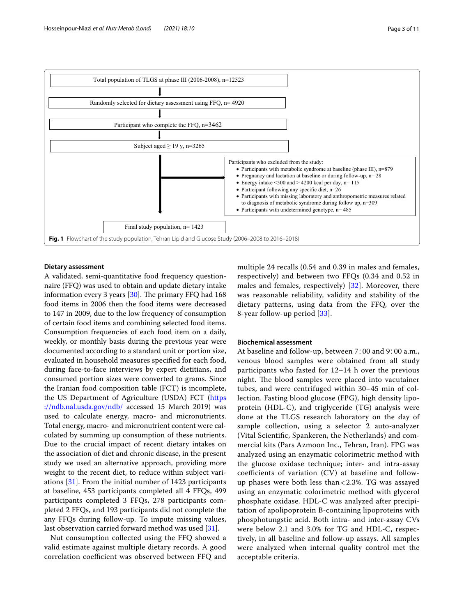

# <span id="page-2-0"></span>**Dietary assessment**

A validated, semi-quantitative food frequency questionnaire (FFQ) was used to obtain and update dietary intake information every 3 years  $[30]$  $[30]$ . The primary FFQ had 168 food items in 2006 then the food items were decreased to 147 in 2009, due to the low frequency of consumption of certain food items and combining selected food items. Consumption frequencies of each food item on a daily, weekly, or monthly basis during the previous year were documented according to a standard unit or portion size, evaluated in household measures specifed for each food, during face-to-face interviews by expert dietitians, and consumed portion sizes were converted to grams. Since the Iranian food composition table (FCT) is incomplete, the US Department of Agriculture (USDA) FCT ([https](https://ndb.nal.usda.gov/ndb/) [://ndb.nal.usda.gov/ndb/](https://ndb.nal.usda.gov/ndb/) accessed 15 March 2019) was used to calculate energy, macro- and micronutrients. Total energy, macro- and micronutrient content were calculated by summing up consumption of these nutrients. Due to the crucial impact of recent dietary intakes on the association of diet and chronic disease, in the present study we used an alternative approach, providing more weight to the recent diet, to reduce within subject variations [\[31](#page-9-26)]. From the initial number of 1423 participants at baseline, 453 participants completed all 4 FFQs, 499 participants completed 3 FFQs, 278 participants completed 2 FFQs, and 193 participants did not complete the any FFQs during follow-up. To impute missing values, last observation carried forward method was used [[31](#page-9-26)].

Nut consumption collected using the FFQ showed a valid estimate against multiple dietary records. A good correlation coefficient was observed between FFQ and multiple 24 recalls (0.54 and 0.39 in males and females, respectively) and between two FFQs (0.34 and 0.52 in males and females, respectively) [\[32\]](#page-9-27). Moreover, there was reasonable reliability, validity and stability of the dietary patterns, using data from the FFQ, over the 8-year follow-up period [[33\]](#page-9-28).

#### **Biochemical assessment**

At baseline and follow-up, between 7∶00 and 9∶00 a.m., venous blood samples were obtained from all study participants who fasted for 12–14 h over the previous night. The blood samples were placed into vacutainer tubes, and were centrifuged within 30–45 min of collection. Fasting blood glucose (FPG), high density lipoprotein (HDL-C), and triglyceride (TG) analysis were done at the TLGS research laboratory on the day of sample collection, using a selector 2 auto-analyzer (Vital Scientifc, Spankeren, the Netherlands) and commercial kits (Pars Azmoon Inc., Tehran, Iran). FPG was analyzed using an enzymatic colorimetric method with the glucose oxidase technique; inter- and intra-assay coefficients of variation  $(CV)$  at baseline and followup phases were both less than < 2.3%. TG was assayed using an enzymatic colorimetric method with glycerol phosphate oxidase. HDL-C was analyzed after precipitation of apolipoprotein B-containing lipoproteins with phosphotungstic acid. Both intra- and inter-assay CVs were below 2.1 and 3.0% for TG and HDL-C, respectively, in all baseline and follow-up assays. All samples were analyzed when internal quality control met the acceptable criteria.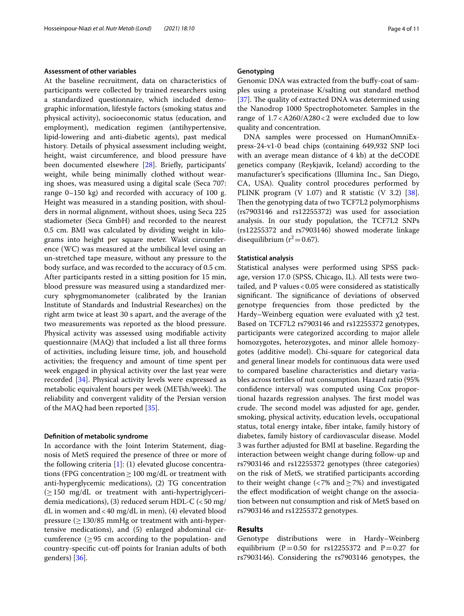#### **Assessment of other variables**

At the baseline recruitment, data on characteristics of participants were collected by trained researchers using a standardized questionnaire, which included demographic information, lifestyle factors (smoking status and physical activity), socioeconomic status (education, and employment), medication regimen (antihypertensive, lipid-lowering and anti-diabetic agents), past medical history. Details of physical assessment including weight, height, waist circumference, and blood pressure have been documented elsewhere [\[28\]](#page-9-23). Briefy, participants' weight, while being minimally clothed without wearing shoes, was measured using a digital scale (Seca 707: range 0–150 kg) and recorded with accuracy of 100 g. Height was measured in a standing position, with shoulders in normal alignment, without shoes, using Seca 225 stadiometer (Seca GmbH) and recorded to the nearest 0.5 cm. BMI was calculated by dividing weight in kilograms into height per square meter. Waist circumference (WC) was measured at the umbilical level using an un-stretched tape measure, without any pressure to the body surface, and was recorded to the accuracy of 0.5 cm. After participants rested in a sitting position for 15 min, blood pressure was measured using a standardized mercury sphygmomanometer (calibrated by the Iranian Institute of Standards and Industrial Researches) on the right arm twice at least 30 s apart, and the average of the two measurements was reported as the blood pressure. Physical activity was assessed using modifable activity questionnaire (MAQ) that included a list all three forms of activities, including leisure time, job, and household activities; the frequency and amount of time spent per week engaged in physical activity over the last year were recorded [\[34\]](#page-9-29). Physical activity levels were expressed as metabolic equivalent hours per week (METsh/week). The reliability and convergent validity of the Persian version of the MAQ had been reported [\[35](#page-9-30)].

#### **Defnition of metabolic syndrome**

In accordance with the Joint Interim Statement, diagnosis of MetS required the presence of three or more of the following criteria  $[1]$  $[1]$ : (1) elevated glucose concentrations (FPG concentration  $\geq 100$  mg/dL or treatment with anti-hyperglycemic medications), (2) TG concentration  $(≥150$  mg/dL or treatment with anti-hypertriglyceridemia medications), (3) reduced serum HDL-C  $\langle$  <50 mg/ dL in women and<40 mg/dL in men), (4) elevated blood pressure  $(≥130/85$  mmHg or treatment with anti-hypertensive medications), and (5) enlarged abdominal circumference  $(≥ 95$  cm according to the population- and country-specifc cut-of points for Iranian adults of both genders) [\[36](#page-9-31)].

## **Genotyping**

Genomic DNA was extracted from the bufy-coat of samples using a proteinase K/salting out standard method [ $37$ ]. The quality of extracted DNA was determined using the Nanodrop 1000 Spectrophotometer. Samples in the range of 1.7<A260/A280<2 were excluded due to low quality and concentration.

DNA samples were processed on HumanOmniExpress-24-v1-0 bead chips (containing 649,932 SNP loci with an average mean distance of 4 kb) at the deCODE genetics company (Reykjavik, Iceland) according to the manufacturer's specifcations (Illumina Inc., San Diego, CA, USA). Quality control procedures performed by PLINK program (V 1.07) and R statistic (V 3.2) [\[38](#page-9-33)]. Then the genotyping data of two TCF7L2 polymorphisms (rs7903146 and rs12255372) was used for association analysis. In our study population, the TCF7L2 SNPs (rs12255372 and rs7903146) showed moderate linkage disequilibrium  $(r^2=0.67)$ .

## **Statistical analysis**

Statistical analyses were performed using SPSS package, version 17.0 (SPSS, Chicago, IL). All tests were twotailed, and P values  $< 0.05$  were considered as statistically significant. The significance of deviations of observed genotype frequencies from those predicted by the Hardy–Weinberg equation were evaluated with χ2 test. Based on TCF7L2 rs7903146 and rs12255372 genotypes, participants were categorized according to major allele homozygotes, heterozygotes, and minor allele homozygotes (additive model). Chi-square for categorical data and general linear models for continuous data were used to compared baseline characteristics and dietary variables across tertiles of nut consumption. Hazard ratio (95% confdence interval) was computed using Cox proportional hazards regression analyses. The first model was crude. The second model was adjusted for age, gender, smoking, physical activity, education levels, occupational status, total energy intake, fber intake, family history of diabetes, family history of cardiovascular disease. Model 3 was further adjusted for BMI at baseline. Regarding the interaction between weight change during follow-up and rs7903146 and rs12255372 genotypes (three categories) on the risk of MetS, we stratifed participants according to their weight change (<7% and  $\geq$ 7%) and investigated the efect modifcation of weight change on the association between nut consumption and risk of MetS based on rs7903146 and rs12255372 genotypes.

# **Results**

Genotype distributions were in Hardy–Weinberg equilibrium (P=0.50 for rs12255372 and P=0.27 for rs7903146). Considering the rs7903146 genotypes, the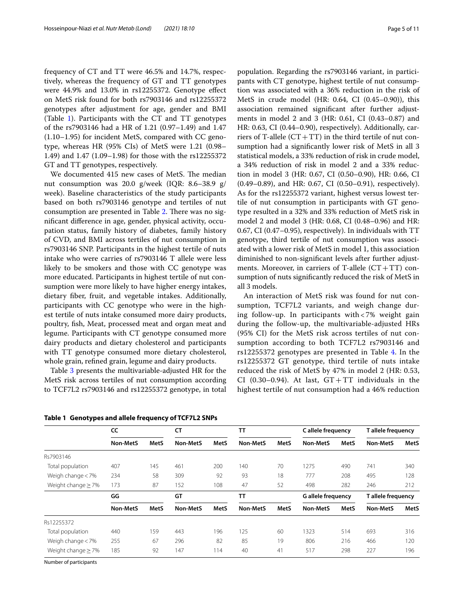frequency of CT and TT were 46.5% and 14.7%, respectively, whereas the frequency of GT and TT genotypes were 44.9% and 13.0% in rs12255372. Genotype efect on MetS risk found for both rs7903146 and rs12255372 genotypes after adjustment for age, gender and BMI (Table [1](#page-4-0)). Participants with the CT and TT genotypes of the rs7903146 had a HR of 1.21 (0.97–1.49) and 1.47 (1.10–1.95) for incident MetS, compared with CC genotype, whereas HR (95% CIs) of MetS were 1.21 (0.98– 1.49) and 1.47 (1.09–1.98) for those with the rs12255372 GT and TT genotypes, respectively.

We documented 415 new cases of MetS. The median nut consumption was 20.0 g/week (IQR: 8.6–38.9 g/ week). Baseline characteristics of the study participants based on both rs7903146 genotype and tertiles of nut consumption are presented in Table [2.](#page-5-0) There was no signifcant diference in age, gender, physical activity, occupation status, family history of diabetes, family history of CVD, and BMI across tertiles of nut consumption in rs7903146 SNP. Participants in the highest tertile of nuts intake who were carries of rs7903146 T allele were less likely to be smokers and those with CC genotype was more educated. Participants in highest tertile of nut consumption were more likely to have higher energy intakes, dietary fber, fruit, and vegetable intakes. Additionally, participants with CC genotype who were in the highest tertile of nuts intake consumed more dairy products, poultry, fsh, Meat, processed meat and organ meat and legume. Participants with CT genotype consumed more dairy products and dietary cholesterol and participants with TT genotype consumed more dietary cholesterol, whole grain, refned grain, legume and dairy products.

Table [3](#page-6-0) presents the multivariable-adjusted HR for the MetS risk across tertiles of nut consumption according to TCF7L2 rs7903146 and rs12255372 genotype, in total

<span id="page-4-0"></span>**Table 1 Genotypes and allele frequency of TCF7L2 SNPs**

population. Regarding the rs7903146 variant, in participants with CT genotype, highest tertile of nut consumption was associated with a 36% reduction in the risk of MetS in crude model (HR: 0.64, CI (0.45–0.90)), this association remained signifcant after further adjustments in model 2 and 3 (HR: 0.61, CI (0.43–0.87) and HR: 0.63, CI (0.44–0.90), respectively). Additionally, carriers of T-allele  $(CT+TT)$  in the third tertile of nut consumption had a signifcantly lower risk of MetS in all 3 statistical models, a 33% reduction of risk in crude model, a 34% reduction of risk in model 2 and a 33% reduction in model 3 (HR: 0.67, CI (0.50–0.90), HR: 0.66, CI (0.49–0.89), and HR: 0.67, CI (0.50–0.91), respectively). As for the rs12255372 variant, highest versus lowest tertile of nut consumption in participants with GT genotype resulted in a 32% and 33% reduction of MetS risk in model 2 and model 3 (HR: 0.68, CI (0.48–0.96) and HR: 0.67, CI (0.47–0.95), respectively). In individuals with TT genotype, third tertile of nut consumption was associated with a lower risk of MetS in model 1, this association diminished to non-signifcant levels after further adjustments. Moreover, in carriers of T-allele  $(CT+TT)$  consumption of nuts signifcantly reduced the risk of MetS in all 3 models.

An interaction of MetS risk was found for nut consumption, TCF7L2 variants, and weigh change during follow-up. In participants with < 7% weight gain during the follow-up, the multivariable-adjusted HRs (95% CI) for the MetS risk across tertiles of nut consumption according to both TCF7L2 rs7903146 and rs12255372 genotypes are presented in Table [4.](#page-6-1) In the rs12255372 GT genotype, third tertile of nuts intake reduced the risk of MetS by 47% in model 2 (HR: 0.53, CI (0.30–0.94). At last,  $GT + TT$  individuals in the highest tertile of nut consumption had a 46% reduction

|                         | cc              |      | <b>CT</b>       |      | TΤ              |      | C allele frequency        |      | T allele frequency |             |
|-------------------------|-----------------|------|-----------------|------|-----------------|------|---------------------------|------|--------------------|-------------|
|                         | Non-MetS        | MetS | <b>Non-MetS</b> | MetS | <b>Non-MetS</b> | MetS | <b>Non-MetS</b>           | MetS | <b>Non-MetS</b>    | <b>MetS</b> |
| Rs7903146               |                 |      |                 |      |                 |      |                           |      |                    |             |
| Total population        | 407             | 145  | 461             | 200  | 140             | 70   | 1275                      | 490  | 741                | 340         |
| Weigh change $<$ 7%     | 234             | 58   | 309             | 92   | 93              | 18   | 777                       | 208  | 495                | 128         |
| Weight change $\geq$ 7% | 173             | 87   | 152             | 108  | 47              | 52   | 498                       | 282  | 246                | 212         |
|                         | GG              |      | GT              |      | TΤ              |      | <b>G</b> allele frequency |      | T allele frequency |             |
|                         | <b>Non-MetS</b> | MetS | Non-MetS        | MetS | <b>Non-MetS</b> | MetS | <b>Non-MetS</b>           | MetS | <b>Non-MetS</b>    | <b>MetS</b> |
| Rs12255372              |                 |      |                 |      |                 |      |                           |      |                    |             |
| Total population        | 440             | 159  | 443             | 196  | 125             | 60   | 1323                      | 514  | 693                | 316         |
| Weigh change $<$ 7%     | 255             | 67   | 296             | 82   | 85              | 19   | 806                       | 216  | 466                | 120         |
| Weight change $\geq$ 7% | 185             | 92   | 147             | 114  | 40              | 41   | 517                       | 298  | 227                | 196         |

Number of participants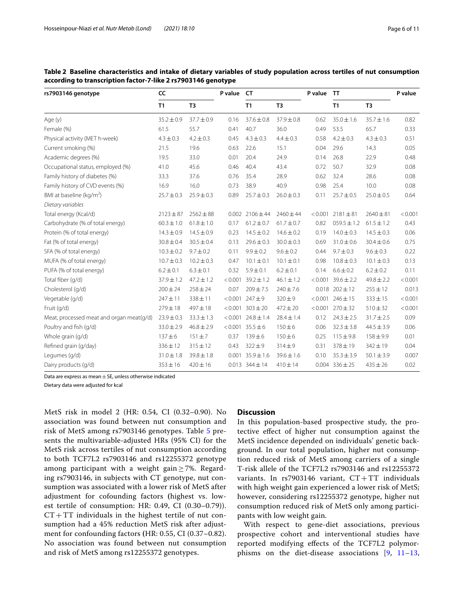| rs7903146 genotype                       | CC             |                | P value<br><b>CT</b> |                        | P value        |         | <b>TT</b>              |                | P value |
|------------------------------------------|----------------|----------------|----------------------|------------------------|----------------|---------|------------------------|----------------|---------|
|                                          | T1             | T <sub>3</sub> |                      | T1                     | T <sub>3</sub> |         | T1                     | T <sub>3</sub> |         |
| Age (y)                                  | $35.2 \pm 0.9$ | $37.7 \pm 0.9$ | 0.16                 | $37.6 \pm 0.8$         | $37.9 \pm 0.8$ | 0.62    | $35.0 \pm 1.6$         | $35.7 \pm 1.6$ | 0.82    |
| Female (%)                               | 61.5           | 55.7           | 0.41                 | 40.7                   | 36.0           | 0.49    | 53.5                   | 65.7           | 0.33    |
| Physical activity (MET h-week)           | $4.3 \pm 0.3$  | $4.2 \pm 0.3$  | 0.45                 | $4.3 \pm 0.3$          | $4.4 \pm 0.3$  | 0.58    | $4.2 \pm 0.3$          | $4.3 \pm 0.3$  | 0.51    |
| Current smoking (%)                      | 21.5           | 19.6           | 0.63                 | 22.6                   | 15.1           | 0.04    | 29.6                   | 14.3           | 0.05    |
| Academic degrees (%)                     | 19.5           | 33.0           | 0.01                 | 20.4                   | 24.9           | 0.14    | 26.8                   | 22.9           | 0.48    |
| Occupational status, employed (%)        | 41.0           | 45.6           | 0.46                 | 40.4                   | 43.4           | 0.72    | 50.7                   | 32.9           | 0.08    |
| Family history of diabetes (%)           | 33.3           | 37.6           | 0.76                 | 35.4                   | 28.9           | 0.62    | 32.4                   | 28.6           | 0.08    |
| Family history of CVD events (%)         | 16.9           | 16.0           | 0.73                 | 38.9                   | 40.9           | 0.98    | 25.4                   | 10.0           | 0.08    |
| BMI at baseline (kg/m <sup>2</sup> )     | $25.7 \pm 0.3$ | $25.9 \pm 0.3$ | 0.89                 | $25.7 \pm 0.3$         | $26.0 \pm 0.3$ | 0.11    | $25.7 \pm 0.5$         | $25.0 \pm 0.5$ | 0.64    |
| Dietary variables                        |                |                |                      |                        |                |         |                        |                |         |
| Total energy (Kcal/d)                    | $2123 \pm 87$  | $2562 \pm 88$  |                      | $0.002$ 2106 $\pm$ 44  | $2460 \pm 44$  | < 0.001 | $2181 \pm 81$          | $2640 \pm 81$  | < 0.001 |
| Carbohydrate (% of total energy)         | $60.3 \pm 1.0$ | $61.8 \pm 1.0$ | 0.17                 | $61.2 \pm 0.7$         | $61.7 \pm 0.7$ | 0.82    | $059.5 \pm 1.2$        | $61.5 \pm 1.2$ | 0.43    |
| Protein (% of total energy)              | $14.3 \pm 0.9$ | $14.5 \pm 0.9$ | 0.23                 | $14.5 \pm 0.2$         | $14.6 \pm 0.2$ | 0.19    | $14.0 \pm 0.3$         | $14.5 \pm 0.3$ | 0.06    |
| Fat (% of total energy)                  | $30.8 \pm 0.4$ | $30.5 \pm 0.4$ | 0.13                 | $29.6 \pm 0.3$         | $30.0 \pm 0.3$ | 0.69    | $31.0 \pm 0.6$         | $30.4 \pm 0.6$ | 0.75    |
| SFA (% of total energy)                  | $10.3 \pm 0.2$ | $9.7 \pm 0.2$  | 0.11                 | $9.9 \pm 0.2$          | $9.6 \pm 0.2$  | 0.44    | $9.7 \pm 0.3$          | $9.6 \pm 0.3$  | 0.22    |
| MUFA (% of total energy)                 | $10.7 \pm 0.3$ | $10.2 \pm 0.3$ | 0.47                 | $10.1 \pm 0.1$         | $10.1 \pm 0.1$ | 0.98    | $10.8 \pm 0.3$         | $10.1 \pm 0.3$ | 0.13    |
| PUFA (% of total energy)                 | $6.2 \pm 0.1$  | $6.3 \pm 0.1$  | 0.32                 | $5.9 \pm 0.1$          | $6.2 \pm 0.1$  | 0.14    | $6.6 \pm 0.2$          | $6.2 \pm 0.2$  | 0.11    |
| Total fiber (g/d)                        | $37.9 \pm 1.2$ | $47.2 \pm 1.2$ | < 0.001              | $39.2 \pm 1.2$         | $46.1 \pm 1.2$ | < 0.001 | $39.6 \pm 2.2$         | $49.8 \pm 2.2$ | < 0.001 |
| Cholesterol (q/d)                        | $200 \pm 24$   | $258 \pm 24$   | 0.07                 | $209 \pm 7.5$          | $240 \pm 7.6$  |         | $0.018$ $202 \pm 12$   | $255 \pm 12$   | 0.013   |
| Vegetable (g/d)                          | $247 + 11$     | 338±11         |                      | $< 0.001$ 247 ± 9      | 320±9          |         | $< 0.001$ 246 ± 15     | $333 \pm 15$   | < 0.001 |
| Fruit (g/d)                              | $279 \pm 18$   | 497±18         |                      | $< 0.001$ 303 ± 20     | $472 \pm 20$   |         | $< 0.001$ 270 $\pm$ 32 | $510 + 32$     | < 0.001 |
| Meat, processed meat and organ meat(g/d) | $23.9 \pm 0.3$ | $33.3 \pm 1.3$ |                      | $< 0.001$ 24.8 ± 1.4   | $28.4 \pm 1.4$ | 0.12    | $24.3 \pm 2.5$         | $31.7 \pm 2.5$ | 0.09    |
| Poultry and fish (g/d)                   | $33.0 \pm 2.9$ | $46.8 \pm 2.9$ |                      | $< 0.001$ 35.5 ± 6     | 150±6          | 0.06    | $32.3 \pm 3.8$         | $44.5 \pm 3.9$ | 0.06    |
| Whole grain (g/d)                        | $137 + 6$      | $151 + 7$      | 0.37                 | 139±6                  | $150 + 6$      | 0.25    | $115 + 9.8$            | $158 + 9.9$    | 0.01    |
| Refined grain (g/day)                    | $336 \pm 12$   | $315 \pm 12$   | 0.43                 | $322 + 9$              | $314 + 9$      | 0.31    | $378 + 19$             | $342 \pm 19$   | 0.04    |
| Legumes (g/d)                            | $31.0 \pm 1.8$ | $39.8 \pm 1.8$ |                      | $0.001$ 35.9 $\pm$ 1.6 | $39.6 \pm 1.6$ | 0.10    | $35.3 \pm 3.9$         | $50.1 \pm 3.9$ | 0.007   |
| Dairy products (g/d)                     | $353 \pm 16$   | $420 \pm 16$   |                      | $0.013$ 344 $\pm$ 14   | $410 \pm 14$   |         | $0.004$ 336 ± 25       | $435 \pm 26$   | 0.02    |

<span id="page-5-0"></span>**Table 2 Baseline characteristics and intake of dietary variables of study population across tertiles of nut consumption according to transcription factor-7-like 2 rs7903146 genotype**

Data are express as mean  $\pm$  SE, unless otherwise indicated

Dietary data were adjusted for kcal

MetS risk in model 2 (HR: 0.54, CI (0.32–0.90). No association was found between nut consumption and risk of MetS among rs7903146 genotypes. Table [5](#page-7-0) presents the multivariable-adjusted HRs (95% CI) for the MetS risk across tertiles of nut consumption according to both TCF7L2 rs7903146 and rs12255372 genotype among participant with a weight gain  $\geq$  7%. Regarding rs7903146, in subjects with CT genotype, nut consumption was associated with a lower risk of MetS after adjustment for cofounding factors **(**highest vs. lowest tertile of consumption: HR: 0.49, CI (0.30–0.79)).  $CT+TT$  individuals in the highest tertile of nut consumption had a 45% reduction MetS risk after adjustment for confounding factors **(**HR: 0.55, CI (0.37–0.82). No association was found between nut consumption and risk of MetS among rs12255372 genotypes.

# **Discussion**

In this population-based prospective study, the protective efect of higher nut consumption against the MetS incidence depended on individuals' genetic background. In our total population, higher nut consumption reduced risk of MetS among carriers of a single T-risk allele of the TCF7L2 rs7903146 and rs12255372 variants. In  $rs7903146$  variant,  $CT+TT$  individuals with high weight gain experienced a lower risk of MetS; however, considering rs12255372 genotype, higher nut consumption reduced risk of MetS only among participants with low weight gain.

With respect to gene-diet associations, previous prospective cohort and interventional studies have reported modifying efects of the TCF7L2 polymorphisms on the diet-disease associations [[9](#page-9-7), [11](#page-9-9)[–13](#page-9-11),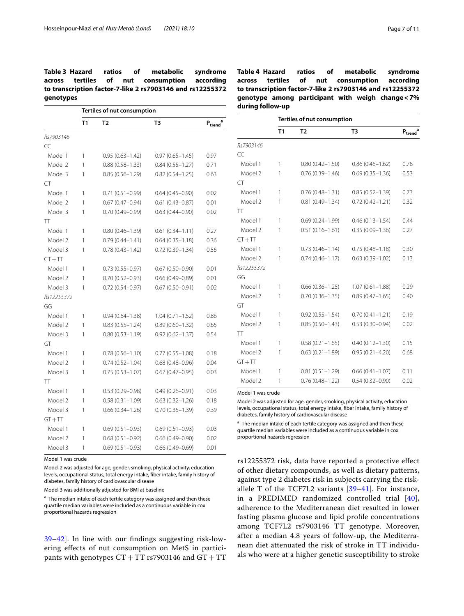# <span id="page-6-0"></span>**Table 3 Hazard ratios of metabolic syndrome across tertiles of nut consumption according to transcription factor-7-like 2 rs7903146 and rs12255372 genotypes**

|            | Tertiles of nut consumption |                     |                     |                               |  |  |  |
|------------|-----------------------------|---------------------|---------------------|-------------------------------|--|--|--|
|            | T1                          | T <sub>2</sub>      | T <sub>3</sub>      | $P_{\text{trend}}^{\qquad a}$ |  |  |  |
| Rs7903146  |                             |                     |                     |                               |  |  |  |
| CC         |                             |                     |                     |                               |  |  |  |
| Model 1    | 1                           | $0.95(0.63 - 1.42)$ | $0.97(0.65 - 1.45)$ | 0.97                          |  |  |  |
| Model 2    | 1                           | $0.88(0.58 - 1.33)$ | $0.84(0.55 - 1.27)$ | 0.71                          |  |  |  |
| Model 3    | 1                           | $0.85(0.56 - 1.29)$ | $0.82(0.54 - 1.25)$ | 0.63                          |  |  |  |
| <b>CT</b>  |                             |                     |                     |                               |  |  |  |
| Model 1    | 1                           | $0.71(0.51 - 0.99)$ | $0.64(0.45 - 0.90)$ | 0.02                          |  |  |  |
| Model 2    | 1                           | $0.67(0.47 - 0.94)$ | $0.61(0.43 - 0.87)$ | 0.01                          |  |  |  |
| Model 3    | 1                           | $0.70(0.49 - 0.99)$ | $0.63(0.44 - 0.90)$ | 0.02                          |  |  |  |
| TT         |                             |                     |                     |                               |  |  |  |
| Model 1    | 1                           | $0.80(0.46 - 1.39)$ | $0.61(0.34 - 1.11)$ | 0.27                          |  |  |  |
| Model 2    | 1                           | $0.79(0.44 - 1.41)$ | $0.64(0.35 - 1.18)$ | 0.36                          |  |  |  |
| Model 3    | 1                           | $0.78(0.43 - 1.42)$ | $0.72(0.39 - 1.34)$ | 0.56                          |  |  |  |
| $CT + TT$  |                             |                     |                     |                               |  |  |  |
| Model 1    | 1                           | $0.73(0.55 - 0.97)$ | $0.67(0.50 - 0.90)$ | 0.01                          |  |  |  |
| Model 2    | 1                           | $0.70(0.52 - 0.93)$ | $0.66(0.49 - 0.89)$ | 0.01                          |  |  |  |
| Model 3    | 1                           | $0.72(0.54 - 0.97)$ | $0.67(0.50 - 0.91)$ | 0.02                          |  |  |  |
| Rs12255372 |                             |                     |                     |                               |  |  |  |
| GG         |                             |                     |                     |                               |  |  |  |
| Model 1    | 1                           | $0.94(0.64 - 1.38)$ | $1.04(0.71 - 1.52)$ | 0.86                          |  |  |  |
| Model 2    | 1                           | $0.83(0.55 - 1.24)$ | $0.89(0.60 - 1.32)$ | 0.65                          |  |  |  |
| Model 3    | 1                           | $0.80(0.53 - 1.19)$ | $0.92(0.62 - 1.37)$ | 0.54                          |  |  |  |
| GT         |                             |                     |                     |                               |  |  |  |
| Model 1    | 1                           | $0.78(0.56 - 1.10)$ | $0.77(0.55 - 1.08)$ | 0.18                          |  |  |  |
| Model 2    | 1                           | $0.74(0.52 - 1.04)$ | $0.68(0.48 - 0.96)$ | 0.04                          |  |  |  |
| Model 3    | 1                           | $0.75(0.53 - 1.07)$ | $0.67(0.47 - 0.95)$ | 0.03                          |  |  |  |
| TT         |                             |                     |                     |                               |  |  |  |
| Model 1    | 1                           | $0.53(0.29 - 0.98)$ | $0.49(0.26 - 0.91)$ | 0.03                          |  |  |  |
| Model 2    | 1                           | $0.58(0.31 - 1.09)$ | $0.63(0.32 - 1.26)$ | 0.18                          |  |  |  |
| Model 3    | 1                           | $0.66(0.34 - 1.26)$ | $0.70(0.35 - 1.39)$ | 0.39                          |  |  |  |
| $GT + TT$  |                             |                     |                     |                               |  |  |  |
| Model 1    | 1                           | $0.69(0.51 - 0.93)$ | $0.69(0.51 - 0.93)$ | 0.03                          |  |  |  |
| Model 2    | 1                           | $0.68(0.51 - 0.92)$ | $0.66(0.49 - 0.90)$ | 0.02                          |  |  |  |
| Model 3    | 1                           | $0.69(0.51 - 0.93)$ | $0.66(0.49 - 0.69)$ | 0.01                          |  |  |  |

Model 1 was crude

Model 2 was adjusted for age, gender, smoking, physical activity, education levels, occupational status, total energy intake, fiber intake, family history of diabetes, family history of cardiovascular disease

Model 3 was additionally adjusted for BMI at baseline

<sup>a</sup> The median intake of each tertile category was assigned and then these quartile median variables were included as a continuous variable in cox proportional hazards regression

[39–](#page-9-34)[42\]](#page-9-35). In line with our fndings suggesting risk-lowering efects of nut consumption on MetS in participants with genotypes  $CT+TT$  rs7903146 and  $GT+TT$  <span id="page-6-1"></span>**Table 4 Hazard ratios of metabolic syndrome across tertiles of nut consumption according to transcription factor-7-like 2 rs7903146 and rs12255372 genotype among participant with weigh change<7% during follow-up**

| Tertiles of nut consumption |                     |                     |                               |  |  |  |
|-----------------------------|---------------------|---------------------|-------------------------------|--|--|--|
| T1                          | T <sub>2</sub>      | T <sub>3</sub>      | $\mathsf{P}_{\mathsf{trend}}$ |  |  |  |
|                             |                     |                     |                               |  |  |  |
|                             |                     |                     |                               |  |  |  |
| 1                           | $0.80(0.42 - 1.50)$ | $0.86(0.46 - 1.62)$ | 0.78                          |  |  |  |
| 1                           | $0.76(0.39 - 1.46)$ | $0.69(0.35 - 1.36)$ | 0.53                          |  |  |  |
|                             |                     |                     |                               |  |  |  |
| 1                           | $0.76(0.48 - 1.31)$ | $0.85(0.52 - 1.39)$ | 0.73                          |  |  |  |
| 1                           | $0.81(0.49 - 1.34)$ | $0.72(0.42 - 1.21)$ | 0.32                          |  |  |  |
|                             |                     |                     |                               |  |  |  |
| 1                           | $0.69(0.24 - 1.99)$ | $0.46(0.13 - 1.54)$ | 0.44                          |  |  |  |
| 1                           | $0.51(0.16 - 1.61)$ | $0.35(0.09 - 1.36)$ | 0.27                          |  |  |  |
|                             |                     |                     |                               |  |  |  |
| 1                           | $0.73(0.46 - 1.14)$ | $0.75(0.48 - 1.18)$ | 0.30                          |  |  |  |
| 1                           | $0.74(0.46 - 1.17)$ | $0.63(0.39 - 1.02)$ | 0.13                          |  |  |  |
|                             |                     |                     |                               |  |  |  |
|                             |                     |                     |                               |  |  |  |
| 1                           | $0.66(0.36 - 1.25)$ | $1.07(0.61 - 1.88)$ | 0.29                          |  |  |  |
| 1                           | $0.70(0.36 - 1.35)$ | $0.89(0.47 - 1.65)$ | 0.40                          |  |  |  |
|                             |                     |                     |                               |  |  |  |
| 1                           | $0.92(0.55 - 1.54)$ | $0.70(0.41 - 1.21)$ | 0.19                          |  |  |  |
| 1                           | $0.85(0.50 - 1.43)$ | $0.53(0.30 - 0.94)$ | 0.02                          |  |  |  |
|                             |                     |                     |                               |  |  |  |
| 1                           | $0.58(0.21 - 1.65)$ | $0.40(0.12 - 1.30)$ | 0.15                          |  |  |  |
| 1                           | $0.63(0.21 - 1.89)$ | $0.95(0.21 - 4.20)$ | 0.68                          |  |  |  |
|                             |                     |                     |                               |  |  |  |
| 1                           | $0.81(0.51 - 1.29)$ | $0.66(0.41 - 1.07)$ | 0.11                          |  |  |  |
| 1                           | $0.76(0.48 - 1.22)$ | $0.54(0.32 - 0.90)$ | 0.02                          |  |  |  |
|                             |                     |                     |                               |  |  |  |

Model 1 was crude

Model 2 was adjusted for age, gender, smoking, physical activity, education levels, occupational status, total energy intake, fber intake, family history of diabetes, family history of cardiovascular disease

<sup>a</sup> The median intake of each tertile category was assigned and then these quartile median variables were included as a continuous variable in cox proportional hazards regression

rs12255372 risk, data have reported a protective efect of other dietary compounds, as well as dietary patterns, against type 2 diabetes risk in subjects carrying the riskallele T of the TCF7L2 variants [[39](#page-9-34)[–41](#page-9-36)]. For instance, in a PREDIMED randomized controlled trial [[40](#page-9-37)], adherence to the Mediterranean diet resulted in lower fasting plasma glucose and lipid profle concentrations among TCF7L2 rs7903146 TT genotype. Moreover, after a median 4.8 years of follow-up, the Mediterranean diet attenuated the risk of stroke in TT individuals who were at a higher genetic susceptibility to stroke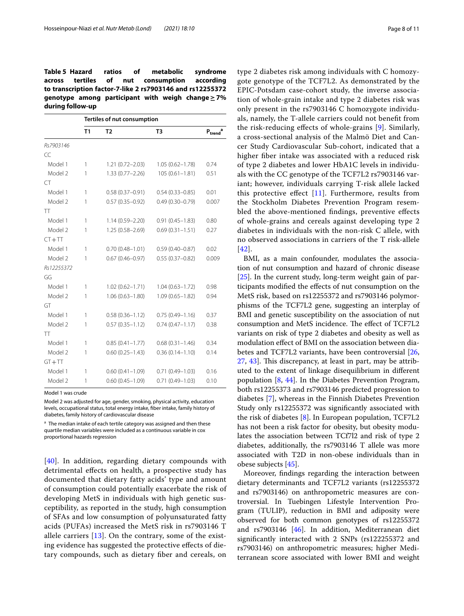<span id="page-7-0"></span>**Table 5 Hazard ratios of metabolic syndrome across tertiles of nut consumption according to transcription factor-7-like 2 rs7903146 and rs12255372 genotype among participant with weigh change≥7% during follow-up**

|            | Tertiles of nut consumption |                     |                     |                               |  |  |  |
|------------|-----------------------------|---------------------|---------------------|-------------------------------|--|--|--|
|            | T <sub>1</sub>              | T <sub>2</sub>      | T3                  | $\mathsf{P}_{\mathsf{trend}}$ |  |  |  |
| Rs7903146  |                             |                     |                     |                               |  |  |  |
| CC         |                             |                     |                     |                               |  |  |  |
| Model 1    | 1                           | $1.21(0.72 - 2.03)$ | $1.05(0.62 - 1.78)$ | 0.74                          |  |  |  |
| Model 2    | 1                           | $1.33(0.77 - 2.26)$ | $105(0.61 - 1.81)$  | 0.51                          |  |  |  |
| <b>CT</b>  |                             |                     |                     |                               |  |  |  |
| Model 1    | 1                           | $0.58(0.37 - 0.91)$ | $0.54(0.33 - 0.85)$ | 0.01                          |  |  |  |
| Model 2    | 1                           | $0.57(0.35 - 0.92)$ | $0.49(0.30 - 0.79)$ | 0.007                         |  |  |  |
| TT         |                             |                     |                     |                               |  |  |  |
| Model 1    | 1                           | $1.14(0.59 - 2.20)$ | $0.91(0.45 - 1.83)$ | 0.80                          |  |  |  |
| Model 2    | 1                           | 1.25 (0.58-2.69)    | $0.69(0.31 - 1.51)$ | 0.27                          |  |  |  |
| $CT + TT$  |                             |                     |                     |                               |  |  |  |
| Model 1    | 1                           | $0.70(0.48 - 1.01)$ | $0.59(0.40 - 0.87)$ | 0.02                          |  |  |  |
| Model 2    | 1                           | $0.67(0.46 - 0.97)$ | $0.55(0.37 - 0.82)$ | 0.009                         |  |  |  |
| Rs12255372 |                             |                     |                     |                               |  |  |  |
| GG         |                             |                     |                     |                               |  |  |  |
| Model 1    | 1                           | $1.02(0.62 - 1.71)$ | $1.04(0.63 - 1.72)$ | 0.98                          |  |  |  |
| Model 2    | 1                           | $1.06(0.63 - 1.80)$ | $1.09(0.65 - 1.82)$ | 0.94                          |  |  |  |
| GT         |                             |                     |                     |                               |  |  |  |
| Model 1    | 1                           | $0.58(0.36 - 1.12)$ | $0.75(0.49 - 1.16)$ | 0.37                          |  |  |  |
| Model 2    | 1                           | $0.57(0.35 - 1.12)$ | $0.74(0.47 - 1.17)$ | 0.38                          |  |  |  |
| <b>TT</b>  |                             |                     |                     |                               |  |  |  |
| Model 1    | 1                           | $0.85(0.41 - 1.77)$ | $0.68(0.31 - 1.46)$ | 0.34                          |  |  |  |
| Model 2    | 1                           | $0.60(0.25 - 1.43)$ | $0.36(0.14 - 1.10)$ | 0.14                          |  |  |  |
| $GT + TT$  |                             |                     |                     |                               |  |  |  |
| Model 1    | 1                           | $0.60(0.41 - 1.09)$ | $0.71(0.49 - 1.03)$ | 0.16                          |  |  |  |
| Model 2    | 1                           | $0.60(0.45 - 1.09)$ | $0.71(0.49 - 1.03)$ | 0.10                          |  |  |  |

Model 1 was crude

Model 2 was adjusted for age, gender, smoking, physical activity, education levels, occupational status, total energy intake, fber intake, family history of diabetes, family history of cardiovascular disease

<sup>a</sup> The median intake of each tertile category was assigned and then these quartile median variables were included as a continuous variable in cox proportional hazards regression

[[40](#page-9-37)]. In addition, regarding dietary compounds with detrimental effects on health, a prospective study has documented that dietary fatty acids' type and amount of consumption could potentially exacerbate the risk of developing MetS in individuals with high genetic susceptibility, as reported in the study, high consumption of SFAs and low consumption of polyunsaturated fatty acids (PUFAs) increased the MetS risk in rs7903146 T allele carriers [[13\]](#page-9-11). On the contrary, some of the existing evidence has suggested the protective efects of dietary compounds, such as dietary fber and cereals, on type 2 diabetes risk among individuals with C homozygote genotype of the TCF7L2. As demonstrated by the EPIC-Potsdam case-cohort study, the inverse association of whole-grain intake and type 2 diabetes risk was only present in the rs7903146 C homozygote individuals, namely, the T-allele carriers could not beneft from the risk-reducing efects of whole-grains [\[9](#page-9-7)]. Similarly, a cross-sectional analysis of the Malmö Diet and Cancer Study Cardiovascular Sub-cohort, indicated that a higher fber intake was associated with a reduced risk of type 2 diabetes and lower HbA1C levels in individuals with the CC genotype of the TCF7L2 rs7903146 variant; however, individuals carrying T-risk allele lacked this protective effect  $[11]$  $[11]$ . Furthermore, results from the Stockholm Diabetes Prevention Program resembled the above-mentioned fndings, preventive efects of whole-grains and cereals against developing type 2 diabetes in individuals with the non-risk C allele, with no observed associations in carriers of the T risk-allele [[42](#page-9-35)].

BMI, as a main confounder, modulates the association of nut consumption and hazard of chronic disease [[25\]](#page-9-20). In the current study, long-term weight gain of participants modifed the efects of nut consumption on the MetS risk, based on rs12255372 and rs7903146 polymorphisms of the TCF7L2 gene, suggesting an interplay of BMI and genetic susceptibility on the association of nut consumption and MetS incidence. The effect of TCF7L2 variants on risk of type 2 diabetes and obesity as well as modulation efect of BMI on the association between diabetes and TCF7L2 variants, have been controversial [[26](#page-9-21), [27,](#page-9-22) [43\]](#page-10-0). This discrepancy, at least in part, may be attributed to the extent of linkage disequilibrium in diferent population [[8,](#page-9-6) [44](#page-10-1)]. In the Diabetes Prevention Program, both rs12255373 and rs7903146 predicted progression to diabetes [[7\]](#page-9-5), whereas in the Finnish Diabetes Prevention Study only rs12255372 was signifcantly associated with the risk of diabetes [[8\]](#page-9-6). In European population, TCF7L2 has not been a risk factor for obesity, but obesity modulates the association between TCf7l2 and risk of type 2 diabetes, additionally, the rs7903146 T allele was more associated with T2D in non-obese individuals than in obese subjects [[45\]](#page-10-2).

Moreover, fndings regarding the interaction between dietary determinants and TCF7L2 variants (rs12255372 and rs7903146) on anthropometric measures are controversial. In Tuebingen Lifestyle Intervention Program (TULIP), reduction in BMI and adiposity were observed for both common genotypes of rs12255372 and rs7903146 [\[46](#page-10-3)]. In addition, Mediterranean diet signifcantly interacted with 2 SNPs (rs122255372 and rs7903146) on anthropometric measures; higher Mediterranean score associated with lower BMI and weight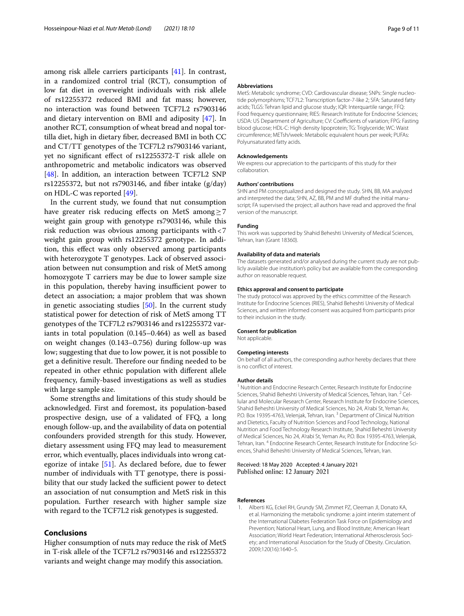among risk allele carriers participants [\[41\]](#page-9-36). In contrast, in a randomized control trial (RCT), consumption of low fat diet in overweight individuals with risk allele of rs12255372 reduced BMI and fat mass; however, no interaction was found between TCF7L2 rs7903146 and dietary intervention on BMI and adiposity [[47\]](#page-10-4). In another RCT, consumption of wheat bread and nopal tortilla diet, high in dietary fber, decreased BMI in both CC and CT/TT genotypes of the TCF7L2 rs7903146 variant, yet no signifcant efect of rs12255372-T risk allele on anthropometric and metabolic indicators was observed [[48\]](#page-10-5). In addition, an interaction between TCF7L2 SNP rs12255372, but not rs7903146, and fiber intake  $(g/day)$ on HDL-C was reported [\[49](#page-10-6)].

In the current study, we found that nut consumption have greater risk reducing efects on MetS among≥7 weight gain group with genotype rs7903146, while this risk reduction was obvious among participants with<7 weight gain group with rs12255372 genotype. In addition, this efect was only observed among participants with heterozygote T genotypes. Lack of observed association between nut consumption and risk of MetS among homozygote T carriers may be due to lower sample size in this population, thereby having insufficient power to detect an association; a major problem that was shown in genetic associating studies [\[50\]](#page-10-7). In the current study statistical power for detection of risk of MetS among TT genotypes of the TCF7L2 rs7903146 and rs12255372 variants in total population (0.145–0.464) as well as based on weight changes (0.143–0.756) during follow-up was low; suggesting that due to low power, it is not possible to get a definitive result. Therefore our finding needed to be repeated in other ethnic population with diferent allele frequency, family-based investigations as well as studies with large sample size.

Some strengths and limitations of this study should be acknowledged. First and foremost, its population-based prospective design, use of a validated of FFQ, a long enough follow-up, and the availability of data on potential confounders provided strength for this study. However, dietary assessment using FFQ may lead to measurement error, which eventually, places individuals into wrong categorize of intake [[51](#page-10-8)]. As declared before, due to fewer number of individuals with TT genotype, there is possibility that our study lacked the sufficient power to detect an association of nut consumption and MetS risk in this population. Further research with higher sample size with regard to the TCF7L2 risk genotypes is suggested.

# **Conclusions**

Higher consumption of nuts may reduce the risk of MetS in T-risk allele of the TCF7L2 rs7903146 and rs12255372 variants and weight change may modify this association.

#### **Abbreviations**

MetS: Metabolic syndrome; CVD: Cardiovascular disease; SNPs: Single nucleotide polymorphisms; TCF7L2: Transcription factor-7-like 2; SFA: Saturated fatty acids; TLGS: Tehran lipid and glucose study; IQR: Interquartile range; FFQ: Food frequency questionnaire; RIES: Research Institute for Endocrine Sciences; USDA: US Department of Agriculture; CV: Coefficients of variation; FPG: Fasting blood glucose; HDL-C: High density lipoprotein; TG: Triglyceride; WC: Waist circumference; METsh/week: Metabolic equivalent hours per week; PUFAs: Polyunsaturated fatty acids.

#### **Acknowledgements**

We express our appreciation to the participants of this study for their collaboration.

#### **Authors' contributions**

SHN and PM conceptualized and designed the study. SHN, BB, MA analyzed and interpreted the data; SHN, AZ, BB, PM and MF drafted the initial manuscript; FA supervised the project; all authors have read and approved the fnal version of the manuscript.

#### **Funding**

This work was supported by Shahid Beheshti University of Medical Sciences, Tehran, Iran (Grant 18360).

#### **Availability of data and materials**

The datasets generated and/or analysed during the current study are not publicly available due institution's policy but are available from the corresponding author on reasonable request.

#### **Ethics approval and consent to participate**

The study protocol was approved by the ethics committee of the Research Institute for Endocrine Sciences (RIES), Shahid Beheshti University of Medical Sciences, and written informed consent was acquired from participants prior to their inclusion in the study.

#### **Consent for publication**

Not applicable.

#### **Competing interests**

On behalf of all authors, the corresponding author hereby declares that there is no confict of interest.

#### **Author details**

<sup>1</sup> Nutrition and Endocrine Research Center, Research Institute for Endocrine Sciences, Shahid Beheshti University of Medical Sciences, Tehran, Iran.<sup>2</sup> Cellular and Molecular Research Center, Research Institute for Endocrine Sciences, Shahid Beheshti University of Medical Sciences, No 24, A'rabi St, Yeman Av, P.O. Box 19395-4763, Velenjak, Tehran, Iran.<sup>3</sup> Department of Clinical Nutrition and Dietetics, Faculty of Nutrition Sciences and Food Technology, National Nutrition and Food Technology Research Institute, Shahid Beheshti University of Medical Sciences, No 24, A'rabi St, Yeman Av, P.O. Box 19395‑4763, Velenjak, Tehran, Iran. <sup>4</sup> Endocrine Research Center, Research Institute for Endocrine Sciences, Shahid Beheshti University of Medical Sciences, Tehran, Iran.

## Received: 18 May 2020 Accepted: 4 January 2021 Published online: 12 January 2021

#### **References**

<span id="page-8-0"></span>1. Alberti KG, Eckel RH, Grundy SM, Zimmet PZ, Cleeman JI, Donato KA, et al. Harmonizing the metabolic syndrome: a joint interim statement of the International Diabetes Federation Task Force on Epidemiology and Prevention; National Heart, Lung, and Blood Institute; American Heart Association; World Heart Federation; International Atherosclerosis Society; and International Association for the Study of Obesity. Circulation. 2009;120(16):1640–5.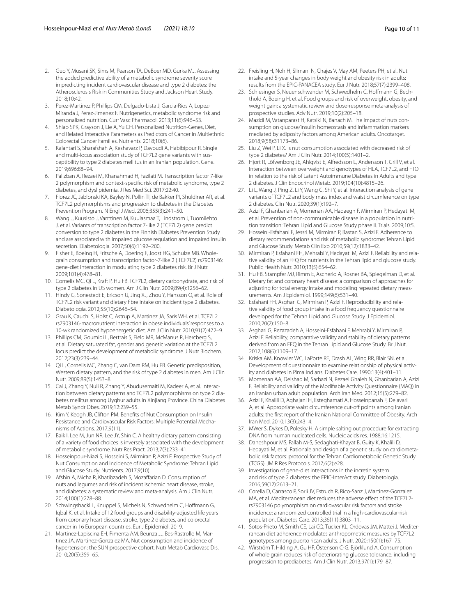- <span id="page-9-0"></span>2. Guo Y, Musani SK, Sims M, Pearson TA, DeBoer MD, Gurka MJ. Assessing the added predictive ability of a metabolic syndrome severity score in predicting incident cardiovascular disease and type 2 diabetes: the Atherosclerosis Risk in Communities Study and Jackson Heart Study. 2018;10:42.
- <span id="page-9-1"></span>3. Perez-Martinez P, Phillips CM, Delgado-Lista J, Garcia-Rios A, Lopez-Miranda J, Perez-Jimenez F. Nutrigenetics, metabolic syndrome risk and personalized nutrition. Curr Vasc Pharmacol. 2013;11(6):946–53.
- <span id="page-9-2"></span>4. Shiao SPK, Grayson J, Lie A, Yu CH. Personalized Nutrition-Genes, Diet, and Related Interactive Parameters as Predictors of Cancer in Multiethnic Colorectal Cancer Families. Nutrients. 2018;10(6).
- <span id="page-9-3"></span>5. Kalantari S, Sharafshah A, Keshavarz P, Davoudi A, Habibipour R. Single and multi-locus association study of TCF7L2 gene variants with susceptibility to type 2 diabetes mellitus in an Iranian population. Gene. 2019;696:88–94.
- <span id="page-9-4"></span>6. Palizban A, Rezaei M, Khanahmad H, Fazilati M. Transcription factor 7-like 2 polymorphism and context-specifc risk of metabolic syndrome, type 2 diabetes, and dyslipidemia. J Res Med Sci. 2017;22:40.
- <span id="page-9-5"></span>7. Florez JC, Jablonski KA, Bayley N, Pollin TI, de Bakker PI, Shuldiner AR, et al. TCF7L2 polymorphisms and progression to diabetes in the Diabetes Prevention Program. N Engl J Med. 2006;355(3):241–50.
- <span id="page-9-6"></span>8. Wang J, Kuusisto J, Vanttinen M, Kuulasmaa T, Lindstrom J, Tuomilehto J, et al. Variants of transcription factor 7-like 2 (TCF7L2) gene predict conversion to type 2 diabetes in the Finnish Diabetes Prevention Study and are associated with impaired glucose regulation and impaired insulin secretion. Diabetologia. 2007;50(6):1192–200.
- <span id="page-9-7"></span>9. Fisher E, Boeing H, Fritsche A, Doering F, Joost HG, Schulze MB. Wholegrain consumption and transcription factor-7-like 2 ( TCF7L2) rs7903146: gene-diet interaction in modulating type 2 diabetes risk. Br J Nutr. 2009;101(4):478–81.
- <span id="page-9-8"></span>10. Cornelis MC, Qi L, Kraft P, Hu FB. TCF7L2, dietary carbohydrate, and risk of type 2 diabetes in US women. Am J Clin Nutr. 2009;89(4):1256–62.
- <span id="page-9-9"></span>11. Hindy G, Sonestedt E, Ericson U, Jing XJ, Zhou Y, Hansson O, et al. Role of TCF7L2 risk variant and dietary fbre intake on incident type 2 diabetes. Diabetologia. 2012;55(10):2646–54.
- <span id="page-9-10"></span>12. Grau K, Cauchi S, Holst C, Astrup A, Martinez JA, Saris WH, et al. TCF7L2 rs7903146-macronutrient interaction in obese individuals' responses to a 10-wk randomized hypoenergetic diet. Am J Clin Nutr. 2010;91(2):472–9.
- <span id="page-9-11"></span>13. Phillips CM, Goumidi L, Bertrais S, Field MR, McManus R, Hercberg S, et al. Dietary saturated fat, gender and genetic variation at the TCF7L2 locus predict the development of metabolic syndrome. J Nutr Biochem. 2012;23(3):239–44.
- <span id="page-9-12"></span>14. Qi L, Cornelis MC, Zhang C, van Dam RM, Hu FB. Genetic predisposition, Western dietary pattern, and the risk of type 2 diabetes in men. Am J Clin Nutr. 2009;89(5):1453–8.
- <span id="page-9-13"></span>15. Cai J, Zhang Y, Nuli R, Zhang Y, Abudusemaiti M, Kadeer A, et al. Interaction between dietary patterns and TCF7L2 polymorphisms on type 2 diabetes mellitus among Uyghur adults in Xinjiang Province. China Diabetes Metab Syndr Obes. 2019;12:239–55.
- <span id="page-9-14"></span>16. Kim Y, Keogh JB, Clifton PM. Benefts of Nut Consumption on Insulin Resistance and Cardiovascular Risk Factors: Multiple Potential Mechanisms of Actions. 2017;9(11).
- <span id="page-9-15"></span>17. Baik I, Lee M, Jun NR, Lee JY, Shin C. A healthy dietary pattern consisting of a variety of food choices is inversely associated with the development of metabolic syndrome. Nutr Res Pract. 2013;7(3):233–41.
- 18. Hosseinpour-Niazi S, Hosseini S, Mirmiran P, Azizi F. Prospective Study of Nut Consumption and Incidence of Metabolic Syndrome: Tehran Lipid and Glucose Study. Nutrients. 2017;9(10).
- 19. Afshin A, Micha R, Khatibzadeh S, Mozaffarian D. Consumption of nuts and legumes and risk of incident ischemic heart disease, stroke, and diabetes: a systematic review and meta-analysis. Am J Clin Nutr. 2014;100(1):278–88.
- 20. Schwingshackl L, Knuppel S, Michels N, Schwedhelm C, Hofmann G, Iqbal K, et al. Intake of 12 food groups and disability-adjusted life years from coronary heart disease, stroke, type 2 diabetes, and colorectal cancer in 16 European countries. Eur J Epidemiol. 2019.
- <span id="page-9-16"></span>21. Martinez-Lapiscina EH, Pimenta AM, Beunza JJ, Bes-Rastrollo M, Martinez JA, Martinez-Gonzalez MA. Nut consumption and incidence of hypertension: the SUN prospective cohort. Nutr Metab Cardiovasc Dis. 2010;20(5):359–65.
- <span id="page-9-17"></span>22. Freisling H, Noh H, Slimani N, Chajes V, May AM, Peeters PH, et al. Nut intake and 5-year changes in body weight and obesity risk in adults: results from the EPIC-PANACEA study. Eur J Nutr. 2018;57(7):2399–408.
- <span id="page-9-18"></span>23. Schlesinger S, Neuenschwander M, Schwedhelm C, Hoffmann G, Bechthold A, Boeing H, et al. Food groups and risk of overweight, obesity, and weight gain: a systematic review and dose-response meta-analysis of prospective studies. Adv Nutr. 2019;10(2):205–18.
- <span id="page-9-19"></span>24. Mazidi M, Vatanparast H, Katsiki N, Banach M. The impact of nuts consumption on glucose/insulin homeostasis and infammation markers mediated by adiposity factors among American adults. Oncotarget. 2018;9(58):31173–86.
- <span id="page-9-20"></span>25. Liu Z, Wei P, Li X. Is nut consumption associated with decreased risk of type 2 diabetes? Am J Clin Nutr. 2014;100(5):1401–2.
- <span id="page-9-21"></span>26. Hjort R, Löfvenborg JE, Ahlqvist E, Alfredsson L, Andersson T, Grill V, et al. Interaction between overweight and genotypes of HLA, TCF7L2, and FTO in relation to the risk of Latent Autoimmune Diabetes in Adults and type 2 diabetes. J Clin Endocrinol Metab. 2019;104(10):4815–26.
- <span id="page-9-22"></span>27. Li L, Wang J, Ping Z, Li Y, Wang C, Shi Y, et al. Interaction analysis of gene variants of TCF7L2 and body mass index and waist circumference on type 2 diabetes. Clin Nutr. 2020;39(1):192–7.
- <span id="page-9-23"></span>28. Azizi F, Ghanbarian A, Momenan AA, Hadaegh F, Mirmiran P, Hedayati M, et al. Prevention of non-communicable disease in a population in nutrition transition: Tehran Lipid and Glucose Study phase II. Trials. 2009;10:5.
- <span id="page-9-24"></span>29. Hosseini-Esfahani F, Jessri M, Mirmiran P, Bastan S, Azizi F. Adherence to dietary recommendations and risk of metabolic syndrome: Tehran Lipid and Glucose Study. Metab Clin Exp 2010;59(12):1833–42.
- <span id="page-9-25"></span>30. Mirmiran P, Esfahani FH, Mehrabi Y, Hedayati M, Azizi F. Reliability and relative validity of an FFQ for nutrients in the Tehran lipid and glucose study. Public Health Nutr. 2010;13(5):654–62.
- <span id="page-9-26"></span>31. Hu FB, Stampfer MJ, Rimm E, Ascherio A, Rosner BA, Spiegelman D, et al. Dietary fat and coronary heart disease: a comparison of approaches for adjusting for total energy intake and modeling repeated dietary measurements. Am J Epidemiol. 1999;149(6):531–40.
- <span id="page-9-27"></span>32. Esfahani FH, Asghari G, Mirmiran P, Azizi F. Reproducibility and relative validity of food group intake in a food frequency questionnaire developed for the Tehran Lipid and Glucose Study. J Epidemiol. 2010;20(2):150–8.
- <span id="page-9-28"></span>33. Asghari G, Rezazadeh A, Hosseini-Esfahani F, Mehrabi Y, Mirmiran P, Azizi F. Reliability, comparative validity and stability of dietary patterns derived from an FFQ in the Tehran Lipid and Glucose Study. Br J Nut. 2012;108(6):1109–17.
- <span id="page-9-29"></span>34. Kriska AM, Knowler WC, LaPorte RE, Drash AL, Wing RR, Blair SN, et al. Development of questionnaire to examine relationship of physical activity and diabetes in Pima Indians. Diabetes Care. 1990;13(4):401–11.
- <span id="page-9-30"></span>35. Momenan AA, Delshad M, Sarbazi N, Rezaei Ghaleh N, Ghanbarian A, Azizi F. Reliability and validity of the Modifable Activity Questionnaire (MAQ) in an Iranian urban adult population. Arch Iran Med. 2012;15(5):279–82.
- <span id="page-9-31"></span>36. Azizi F, Khalili D, Aghajani H, Esteghamati A, Hosseinpanah F, Delavari A, et al. Appropriate waist circumference cut-off points among Iranian adults: the frst report of the Iranian National Committee of Obesity. Arch Iran Med. 2010;13(3):243–4.
- <span id="page-9-32"></span>37. MWer S, Dykes D, Polesky H. A simple salting out procedure for extracting DNA from human nucleated cells. Nucleic acids res. 1988;16:1215.
- <span id="page-9-33"></span>38. Daneshpour MS, Fallah M-S, Sedaghati-Khayat B, Guity K, Khalili D, Hedayati M, et al. Rationale and design of a genetic study on cardiometabolic risk factors: protocol for the Tehran Cardiometabolic Genetic Study (TCGS). JMIR Res Protocols. 2017;6(2):e28.
- <span id="page-9-34"></span>39. Investigation of gene-diet interactions in the incretin system and risk of type 2 diabetes: the EPIC-InterAct study. Diabetologia. 2016;59(12):2613–21.
- <span id="page-9-37"></span>40. Corella D, Carrasco P, Sorli JV, Estruch R, Rico-Sanz J, Martinez-Gonzalez MA, et al. Mediterranean diet reduces the adverse effect of the TCF7L2rs7903146 polymorphism on cardiovascular risk factors and stroke incidence: a randomized controlled trial in a high-cardiovascular-risk population. Diabetes Care. 2013;36(11):3803–11.
- <span id="page-9-36"></span>41. Sotos-Prieto M, Smith CE, Lai CQ, Tucker KL, Ordovas JM, Mattei J. Mediterranean diet adherence modulates anthropometric measures by TCF7L2 genotypes among puerto rican adults. J Nutr. 2020;150(1):167–75.
- <span id="page-9-35"></span>42. Wirström T, Hilding A, Gu HF, Östenson C-G, Björklund A. Consumption of whole grain reduces risk of deteriorating glucose tolerance, including progression to prediabetes. Am J Clin Nutr. 2013;97(1):179–87.